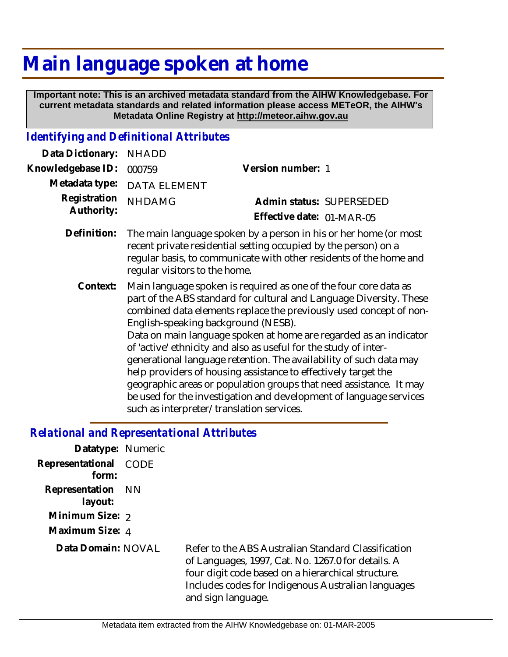# **Main language spoken at home**

 **Important note: This is an archived metadata standard from the AIHW Knowledgebase. For current metadata standards and related information please access METeOR, the AIHW's Metadata Online Registry at http://meteor.aihw.gov.au**

## *Identifying and Definitional Attributes*

| Data Dictionary:           | <b>NHADD</b>                                                                                                                                                                                                                               |                                                                                                                                                                                                                                                                                                                                                                                                                                                                                                                                                                                                                                            |
|----------------------------|--------------------------------------------------------------------------------------------------------------------------------------------------------------------------------------------------------------------------------------------|--------------------------------------------------------------------------------------------------------------------------------------------------------------------------------------------------------------------------------------------------------------------------------------------------------------------------------------------------------------------------------------------------------------------------------------------------------------------------------------------------------------------------------------------------------------------------------------------------------------------------------------------|
| Knowledgebase ID:          | 000759                                                                                                                                                                                                                                     | Version number: 1                                                                                                                                                                                                                                                                                                                                                                                                                                                                                                                                                                                                                          |
| Metadata type:             | <b>DATA ELEMENT</b>                                                                                                                                                                                                                        |                                                                                                                                                                                                                                                                                                                                                                                                                                                                                                                                                                                                                                            |
| Registration<br>Authority: | <b>NHDAMG</b>                                                                                                                                                                                                                              | Admin status: SUPERSEDED<br>Effective date: 01-MAR-05                                                                                                                                                                                                                                                                                                                                                                                                                                                                                                                                                                                      |
| Definition:                | The main language spoken by a person in his or her home (or most<br>recent private residential setting occupied by the person) on a<br>regular basis, to communicate with other residents of the home and<br>regular visitors to the home. |                                                                                                                                                                                                                                                                                                                                                                                                                                                                                                                                                                                                                                            |
| Context:                   | English-speaking background (NESB).<br>such as interpreter/translation services.                                                                                                                                                           | Main language spoken is required as one of the four core data as<br>part of the ABS standard for cultural and Language Diversity. These<br>combined data elements replace the previously used concept of non-<br>Data on main language spoken at home are regarded as an indicator<br>of 'active' ethnicity and also as useful for the study of inter-<br>generational language retention. The availability of such data may<br>help providers of housing assistance to effectively target the<br>geographic areas or population groups that need assistance. It may<br>be used for the investigation and development of language services |

#### *Relational and Representational Attributes*

| Datatype: Numeric         |             |                                                                                                                                                                                                                                             |
|---------------------------|-------------|---------------------------------------------------------------------------------------------------------------------------------------------------------------------------------------------------------------------------------------------|
| Representational<br>form: | <b>CODE</b> |                                                                                                                                                                                                                                             |
| Representation<br>layout: | - NN        |                                                                                                                                                                                                                                             |
| Minimum Size: 2           |             |                                                                                                                                                                                                                                             |
| Maximum Size: 4           |             |                                                                                                                                                                                                                                             |
| Data Domain: NOVAL        |             | Refer to the ABS Australian Standard Classification<br>of Languages, 1997, Cat. No. 1267.0 for details. A<br>four digit code based on a hierarchical structure.<br>Includes codes for Indigenous Australian languages<br>and sign language. |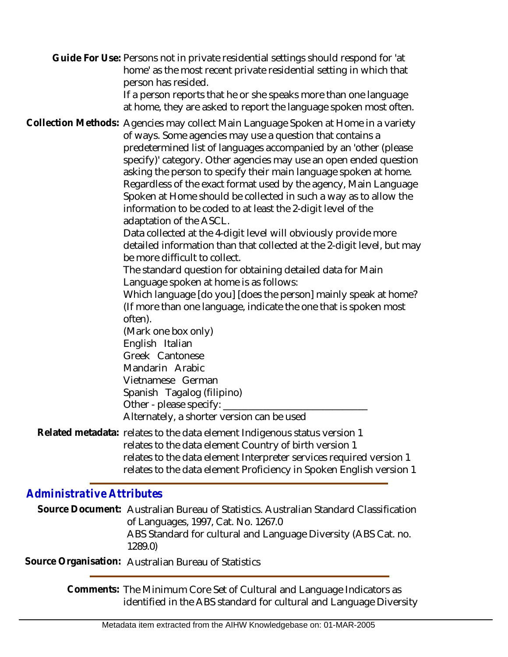Guide For Use: Persons not in private residential settings should respond for 'at home' as the most recent private residential setting in which that person has resided.

If a person reports that he or she speaks more than one language at home, they are asked to report the language spoken most often.

Collection Methods: Agencies may collect Main Language Spoken at Home in a variety of ways. Some agencies may use a question that contains a predetermined list of languages accompanied by an 'other (please specify)' category. Other agencies may use an open ended question asking the person to specify their main language spoken at home. Regardless of the exact format used by the agency, Main Language Spoken at Home should be collected in such a way as to allow the information to be coded to at least the 2-digit level of the adaptation of the ASCL.

> Data collected at the 4-digit level will obviously provide more detailed information than that collected at the 2-digit level, but may be more difficult to collect.

The standard question for obtaining detailed data for Main Language spoken at home is as follows:

Which language [do you] [does the person] mainly speak at home? (If more than one language, indicate the one that is spoken most often).

(Mark one box only) English Italian Greek Cantonese Mandarin Arabic Vietnamese German Spanish Tagalog (filipino) Other - please specify:  $\_$ 

Alternately, a shorter version can be used

Related metadata: relates to the data element Indigenous status version 1 relates to the data element Country of birth version 1 relates to the data element Interpreter services required version 1 relates to the data element Proficiency in Spoken English version 1

### *Administrative Attributes*

Source Document: Australian Bureau of Statistics. Australian Standard Classification of Languages, 1997, Cat. No. 1267.0 ABS Standard for cultural and Language Diversity (ABS Cat. no. 1289.0)

**Source Organisation:** Australian Bureau of Statistics

Comments: The Minimum Core Set of Cultural and Language Indicators as identified in the ABS standard for cultural and Language Diversity